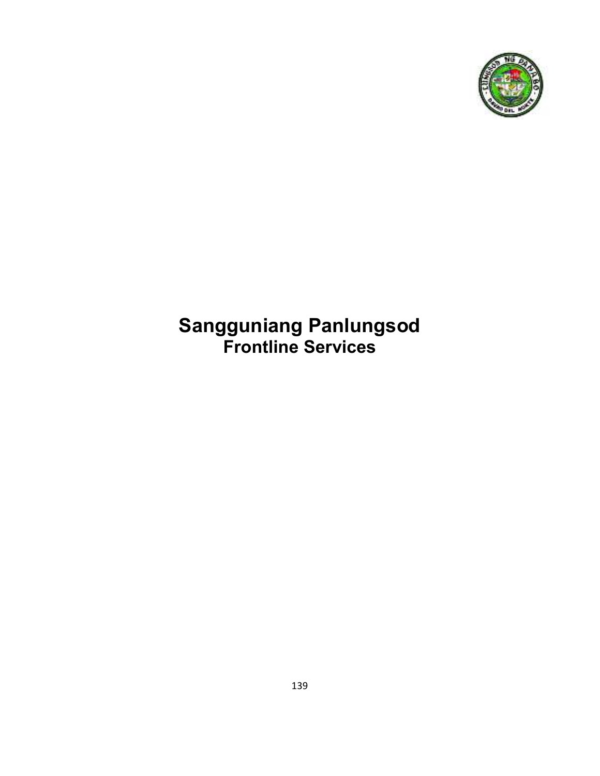

# **Sangguniang Panlungsod Frontline Services**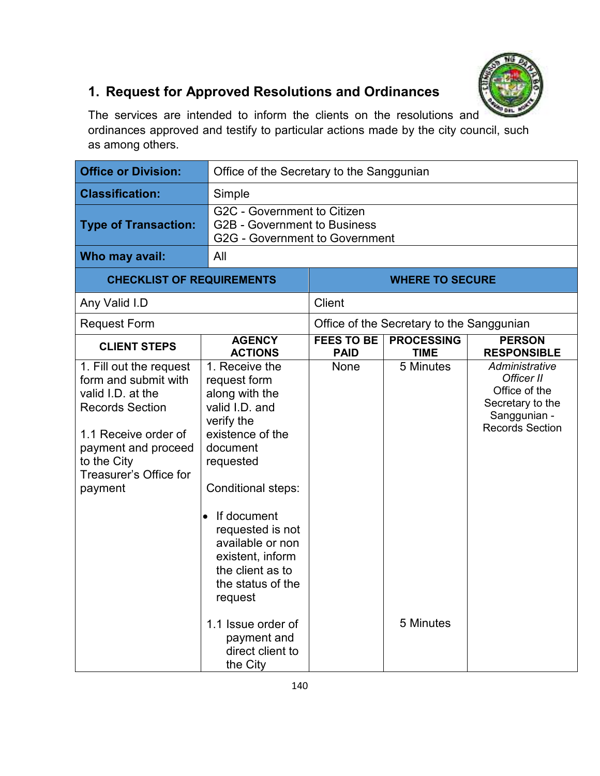

## **1. Request for Approved Resolutions and Ordinances**

The services are intended to inform the clients on the resolutions and ordinances approved and testify to particular actions made by the city council, such as among others.

| <b>Office or Division:</b>                                                                                                                                                                        | Office of the Secretary to the Sanggunian                                                                                                                                                                                                                                                                                    |                                           |                                  |                                                                                                             |  |
|---------------------------------------------------------------------------------------------------------------------------------------------------------------------------------------------------|------------------------------------------------------------------------------------------------------------------------------------------------------------------------------------------------------------------------------------------------------------------------------------------------------------------------------|-------------------------------------------|----------------------------------|-------------------------------------------------------------------------------------------------------------|--|
| <b>Classification:</b>                                                                                                                                                                            | Simple                                                                                                                                                                                                                                                                                                                       |                                           |                                  |                                                                                                             |  |
| <b>Type of Transaction:</b>                                                                                                                                                                       | G2C - Government to Citizen<br><b>G2B - Government to Business</b><br><b>G2G - Government to Government</b>                                                                                                                                                                                                                  |                                           |                                  |                                                                                                             |  |
| Who may avail:                                                                                                                                                                                    | All                                                                                                                                                                                                                                                                                                                          |                                           |                                  |                                                                                                             |  |
|                                                                                                                                                                                                   | <b>CHECKLIST OF REQUIREMENTS</b>                                                                                                                                                                                                                                                                                             |                                           | <b>WHERE TO SECURE</b>           |                                                                                                             |  |
| Any Valid I.D                                                                                                                                                                                     |                                                                                                                                                                                                                                                                                                                              |                                           | <b>Client</b>                    |                                                                                                             |  |
| <b>Request Form</b>                                                                                                                                                                               |                                                                                                                                                                                                                                                                                                                              | Office of the Secretary to the Sanggunian |                                  |                                                                                                             |  |
| <b>CLIENT STEPS</b>                                                                                                                                                                               | <b>AGENCY</b><br><b>ACTIONS</b>                                                                                                                                                                                                                                                                                              | <b>FEES TO BE</b><br><b>PAID</b>          | <b>PROCESSING</b><br><b>TIME</b> | <b>PERSON</b><br><b>RESPONSIBLE</b>                                                                         |  |
| 1. Fill out the request<br>form and submit with<br>valid I.D. at the<br><b>Records Section</b><br>1.1 Receive order of<br>payment and proceed<br>to the City<br>Treasurer's Office for<br>payment | 1. Receive the<br>request form<br>along with the<br>valid I.D. and<br>verify the<br>existence of the<br>document<br>requested<br><b>Conditional steps:</b><br>If document<br>$\bullet$<br>requested is not<br>available or non<br>existent, inform<br>the client as to<br>the status of the<br>request<br>1.1 Issue order of | None                                      | 5 Minutes<br>5 Minutes           | Administrative<br>Officer II<br>Office of the<br>Secretary to the<br>Sanggunian -<br><b>Records Section</b> |  |
|                                                                                                                                                                                                   | payment and<br>direct client to<br>the City                                                                                                                                                                                                                                                                                  |                                           |                                  |                                                                                                             |  |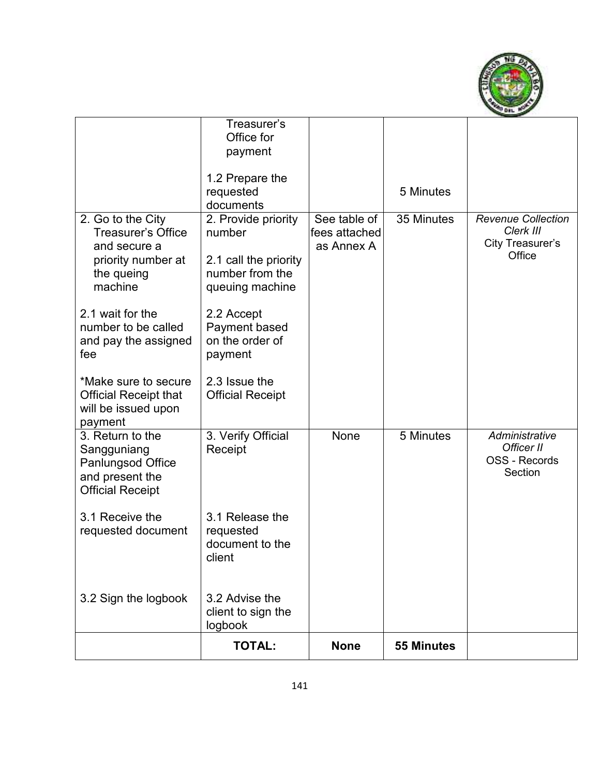

|                                                                                                               | Treasurer's<br>Office for                                                                    |                                             |                   |                                                                      |
|---------------------------------------------------------------------------------------------------------------|----------------------------------------------------------------------------------------------|---------------------------------------------|-------------------|----------------------------------------------------------------------|
|                                                                                                               | payment                                                                                      |                                             |                   |                                                                      |
|                                                                                                               | 1.2 Prepare the                                                                              |                                             | 5 Minutes         |                                                                      |
|                                                                                                               | requested<br>documents                                                                       |                                             |                   |                                                                      |
| 2. Go to the City<br><b>Treasurer's Office</b><br>and secure a<br>priority number at<br>the queing<br>machine | 2. Provide priority<br>number<br>2.1 call the priority<br>number from the<br>queuing machine | See table of<br>fees attached<br>as Annex A | 35 Minutes        | <b>Revenue Collection</b><br>Clerk III<br>City Treasurer's<br>Office |
| 2.1 wait for the<br>number to be called<br>and pay the assigned<br>fee                                        | 2.2 Accept<br>Payment based<br>on the order of<br>payment                                    |                                             |                   |                                                                      |
| *Make sure to secure<br><b>Official Receipt that</b><br>will be issued upon<br>payment                        | 2.3 Issue the<br><b>Official Receipt</b>                                                     |                                             |                   |                                                                      |
| 3. Return to the<br>Sangguniang<br><b>Panlungsod Office</b><br>and present the<br><b>Official Receipt</b>     | 3. Verify Official<br>Receipt                                                                | None                                        | 5 Minutes         | Administrative<br>Officer II<br>OSS - Records<br>Section             |
| 3.1 Receive the<br>requested document                                                                         | 3.1 Release the<br>requested<br>document to the<br>client                                    |                                             |                   |                                                                      |
| 3.2 Sign the logbook                                                                                          | 3.2 Advise the<br>client to sign the<br>logbook                                              |                                             |                   |                                                                      |
|                                                                                                               | <b>TOTAL:</b>                                                                                | <b>None</b>                                 | <b>55 Minutes</b> |                                                                      |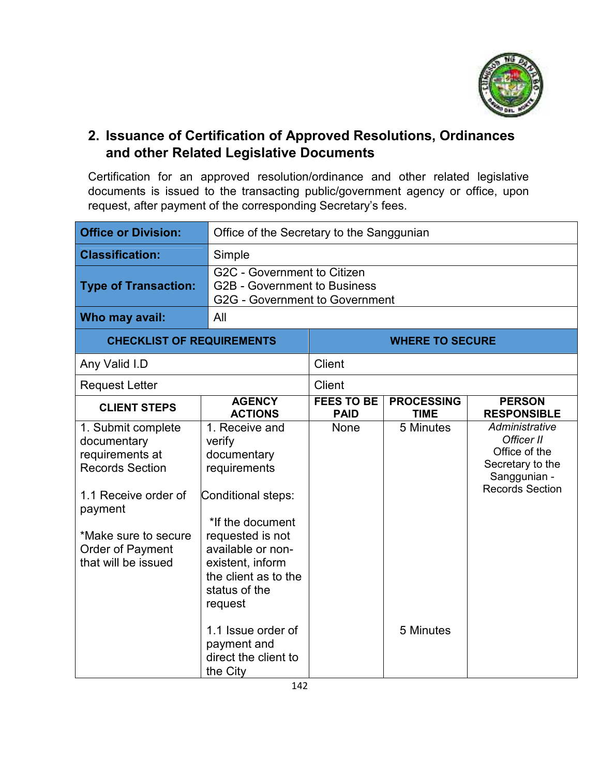

### **2. Issuance of Certification of Approved Resolutions, Ordinances and other Related Legislative Documents**

Certification for an approved resolution/ordinance and other related legislative documents is issued to the transacting public/government agency or office, upon request, after payment of the corresponding Secretary's fees.

| <b>Office or Division:</b>                                                                                                                                                           | Office of the Secretary to the Sanggunian                                                                                                                                                                          |                                  |                                  |                                                                                                             |
|--------------------------------------------------------------------------------------------------------------------------------------------------------------------------------------|--------------------------------------------------------------------------------------------------------------------------------------------------------------------------------------------------------------------|----------------------------------|----------------------------------|-------------------------------------------------------------------------------------------------------------|
| <b>Classification:</b>                                                                                                                                                               | Simple                                                                                                                                                                                                             |                                  |                                  |                                                                                                             |
| <b>Type of Transaction:</b>                                                                                                                                                          | G2C - Government to Citizen<br><b>G2B - Government to Business</b><br><b>G2G - Government to Government</b>                                                                                                        |                                  |                                  |                                                                                                             |
| Who may avail:                                                                                                                                                                       | All                                                                                                                                                                                                                |                                  |                                  |                                                                                                             |
| <b>CHECKLIST OF REQUIREMENTS</b>                                                                                                                                                     |                                                                                                                                                                                                                    | <b>WHERE TO SECURE</b>           |                                  |                                                                                                             |
| Any Valid I.D                                                                                                                                                                        |                                                                                                                                                                                                                    | <b>Client</b>                    |                                  |                                                                                                             |
| <b>Request Letter</b>                                                                                                                                                                |                                                                                                                                                                                                                    | <b>Client</b>                    |                                  |                                                                                                             |
| <b>CLIENT STEPS</b>                                                                                                                                                                  | <b>AGENCY</b><br><b>ACTIONS</b>                                                                                                                                                                                    | <b>FEES TO BE</b><br><b>PAID</b> | <b>PROCESSING</b><br><b>TIME</b> | <b>PERSON</b><br><b>RESPONSIBLE</b>                                                                         |
| 1. Submit complete<br>documentary<br>requirements at<br><b>Records Section</b><br>1.1 Receive order of<br>payment<br>*Make sure to secure<br>Order of Payment<br>that will be issued | 1. Receive and<br>verify<br>documentary<br>requirements<br>Conditional steps:<br>*If the document<br>requested is not<br>available or non-<br>existent, inform<br>the client as to the<br>status of the<br>request | None                             | 5 Minutes                        | Administrative<br>Officer II<br>Office of the<br>Secretary to the<br>Sanggunian -<br><b>Records Section</b> |
|                                                                                                                                                                                      | 1.1 Issue order of<br>payment and<br>direct the client to<br>the City                                                                                                                                              |                                  | 5 Minutes                        |                                                                                                             |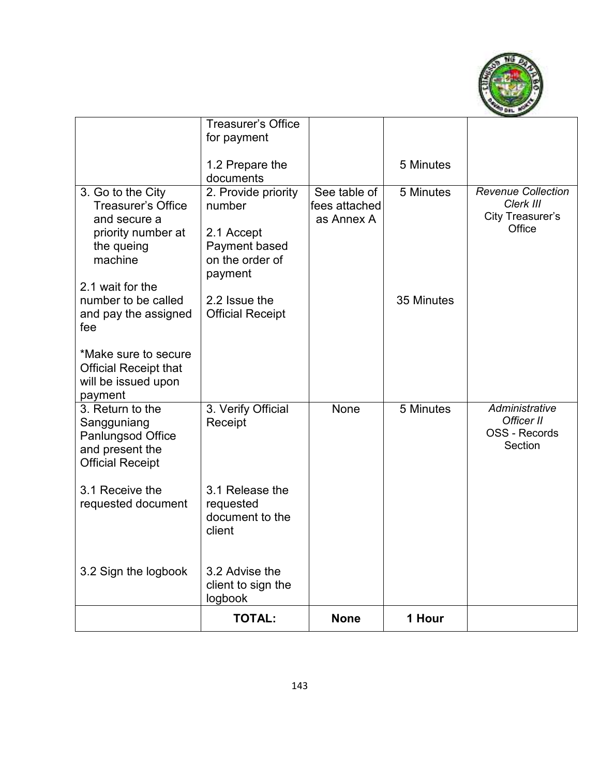

|                                                                                                               | <b>Treasurer's Office</b><br>for payment                                                   |                                             |            |                                                                 |
|---------------------------------------------------------------------------------------------------------------|--------------------------------------------------------------------------------------------|---------------------------------------------|------------|-----------------------------------------------------------------|
|                                                                                                               | 1.2 Prepare the<br>documents                                                               |                                             | 5 Minutes  |                                                                 |
| 3. Go to the City<br><b>Treasurer's Office</b><br>and secure a<br>priority number at<br>the queing<br>machine | 2. Provide priority<br>number<br>2.1 Accept<br>Payment based<br>on the order of<br>payment | See table of<br>fees attached<br>as Annex A | 5 Minutes  | Revenue Collection<br>Clerk III<br>City Treasurer's<br>Office   |
| 2.1 wait for the<br>number to be called<br>and pay the assigned<br>fee                                        | 2.2 Issue the<br><b>Official Receipt</b>                                                   |                                             | 35 Minutes |                                                                 |
| *Make sure to secure<br><b>Official Receipt that</b><br>will be issued upon<br>payment                        |                                                                                            |                                             |            |                                                                 |
| 3. Return to the<br>Sangguniang<br>Panlungsod Office<br>and present the<br><b>Official Receipt</b>            | 3. Verify Official<br>Receipt                                                              | <b>None</b>                                 | 5 Minutes  | Administrative<br>Officer II<br><b>OSS - Records</b><br>Section |
| 3.1 Receive the<br>requested document                                                                         | 3.1 Release the<br>requested<br>document to the<br>client                                  |                                             |            |                                                                 |
| 3.2 Sign the logbook                                                                                          | 3.2 Advise the<br>client to sign the<br>logbook                                            |                                             |            |                                                                 |
|                                                                                                               | <b>TOTAL:</b>                                                                              | <b>None</b>                                 | 1 Hour     |                                                                 |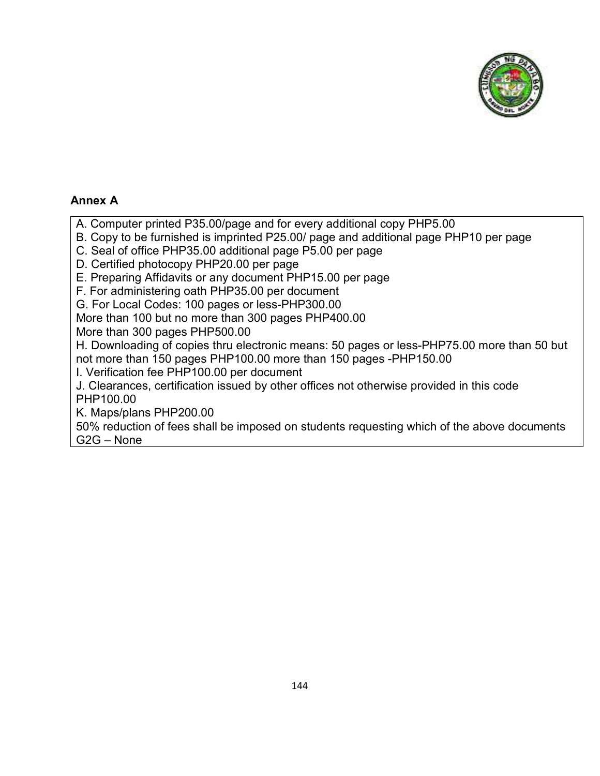

#### **Annex A**

A. Computer printed P35.00/page and for every additional copy PHP5.00

- B. Copy to be furnished is imprinted P25.00/ page and additional page PHP10 per page
- C. Seal of office PHP35.00 additional page P5.00 per page
- D. Certified photocopy PHP20.00 per page

E. Preparing Affidavits or any document PHP15.00 per page

F. For administering oath PHP35.00 per document

G. For Local Codes: 100 pages or less-PHP300.00

More than 100 but no more than 300 pages PHP400.00

More than 300 pages PHP500.00

H. Downloading of copies thru electronic means: 50 pages or less-PHP75.00 more than 50 but not more than 150 pages PHP100.00 more than 150 pages -PHP150.00

I. Verification fee PHP100.00 per document

J. Clearances, certification issued by other offices not otherwise provided in this code PHP100.00

K. Maps/plans PHP200.00

50% reduction of fees shall be imposed on students requesting which of the above documents G2G – None